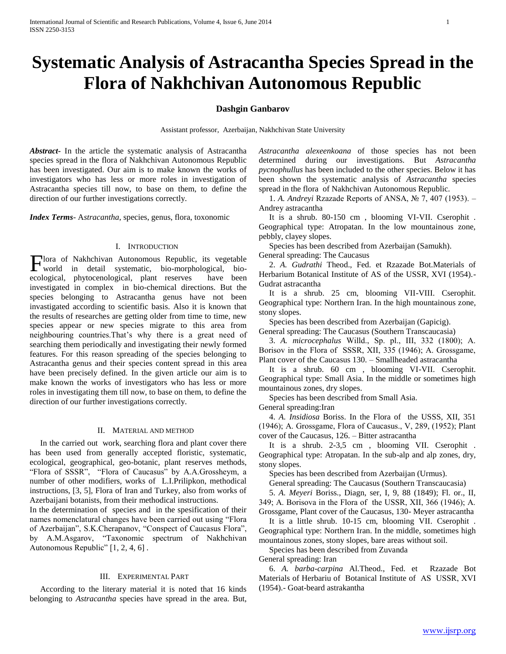# **Systematic Analysis of Astracantha Species Spread in the Flora of Nakhchivan Autonomous Republic**

## **Dashgin Ganbarov**

Assistant professor, Azerbaijan, Nakhchivan State University

*Abstract***-** In the article the systematic analysis of Astracantha species spread in the flora of Nakhchivan Autonomous Republic has been investigated. Our aim is to make known the works of investigators who has less or more roles in investigation of Astracantha species till now, to base on them, to define the direction of our further investigations correctly.

*Index Terms*- A*stracantha*, species, genus, flora, toxonomic

### I. INTRODUCTION

lora of Nakhchivan Autonomous Republic, its vegetable Flora of Nakhchivan Autonomous Republic, its vegetable<br>world in detail systematic, bio-morphological, bioecological, phytocenological, plant reserves have been investigated in complex in bio-chemical directions. But the species belonging to Astracantha genus have not been invastigated according to scientific basis. Also it is known that the results of researches are getting older from time to time, new species appear or new species migrate to this area from neighbouring countries.That's why there is a great need of searching them periodically and investigating their newly formed features. For this reason spreading of the species belonging to Astracantha genus and their species content spread in this area have been precisely defined. In the given article our aim is to make known the works of investigators who has less or more roles in investigating them till now, to base on them, to define the direction of our further investigations correctly.

### II. MATERIAL AND METHOD

 In the carried out work, searching flora and plant cover there has been used from generally accepted floristic, systematic, ecological, geographical, geo-botanic, plant reserves methods, "Flora of SSSR", "Flora of Caucasus" by A.A.Grossheym, a number of other modifiers, works of L.I.Prilipkon, methodical instructions, [3, 5], Flora of Iran and Turkey, also from works of Azerbaijani botanists, from their methodical instructions.

In the determination of species and in the spesification of their names nomenclatural changes have been carried out using "Flora of Azerbaijan", S.K.Cherapanov, "Conspect of Caucasus Flora", by A.M.Asgarov, "Taxonomic spectrum of Nakhchivan Autonomous Republic" [1, 2, 4, 6] .

## III. EXPERIMENTAL PART

 According to the literary material it is noted that 16 kinds belonging to *Astracantha* species have spread in the area. But,

*Astracantha alexeenkoana* of those species has not been determined during our investigations. But *Astracantha pycnophullus* has been included to the other species. Below it has been shown the systematic analysis of *Astracantha* species spread in the flora of Nakhchivan Autonomous Republic.

 1. *A. Andreyi* Rzazade Reports of ANSA, № 7, 407 (1953). – Andrey astracantha

 It is a shrub. 80-150 cm , blooming VI-VII. Cserophit . Geographical type: Atropatan. In the low mountainous zone, pebbly, clayey slopes.

Species has been described from Azerbaijan (Samukh).

General spreading: The Caucasus

 2. *A. Gudrathi* Theod., Fed. et Rzazade Bot.Materials of Herbarium Botanical Institute of AS of the USSR, XVI (1954).- Gudrat astracantha

 It is a shrub. 25 cm, blooming VII-VIII. Cserophit. Geographical type: Northern Iran. In the high mountainous zone, stony slopes.

Species has been described from Azerbaijan (Gapicig).

General spreading: The Caucasus (Southern Transcaucasia)

 3. *A. microcephalus* Willd., Sp. pl., III, 332 (1800); А. Borisov in the Flora of SSSR, XII, 335 (1946); А. Grossgame, Plant cover of the Caucasus 130. – Smallheaded astracantha

 It is a shrub. 60 cm , blooming VI-VII. Cserophit. Geographical type: Small Asia. In the middle or sometimes high mountainous zones, dry slopes.

Species has been described from Small Asia.

General spreading:Iran

 4. *A. Insidiosa* Boriss. In the Flora of the USSS, XII, 351 (1946); А. Grossgame, Flora of Caucasus., V, 289, (1952); Plant cover of the Caucasus, 126. – Bitter astracantha

 It is a shrub. 2-3,5 cm , blooming VII. Cserophit . Geographical type: Atropatan. In the sub-alp and alp zones, dry, stony slopes.

Species has been described from Azerbaijan (Urmus).

General spreading: The Caucasus (Southern Transcaucasia)

 5. *A. Meyeri* Boriss., Diagn, ser, I, 9, 88 (1849); Fl. or., II, 349; А. Borisova in the Flora of the USSR, XII, 366 (1946); А. Grossgame, Plant cover of the Caucasus, 130- Meyer astracantha

 It is a little shrub. 10-15 cm, blooming VII. Cserophit . Geographical type: Northern Iran. In the middle, sometimes high mountainous zones, stony slopes, bare areas without soil.

 Species has been described from Zuvanda General spreading: Iran

 6. *A. barba-carpina* Al.Theod., Fed. et Rzazade Bot Materials of Herbariu of Botanical Institute of АS USSR, XVI (1954).- Goat-beard astrakantha